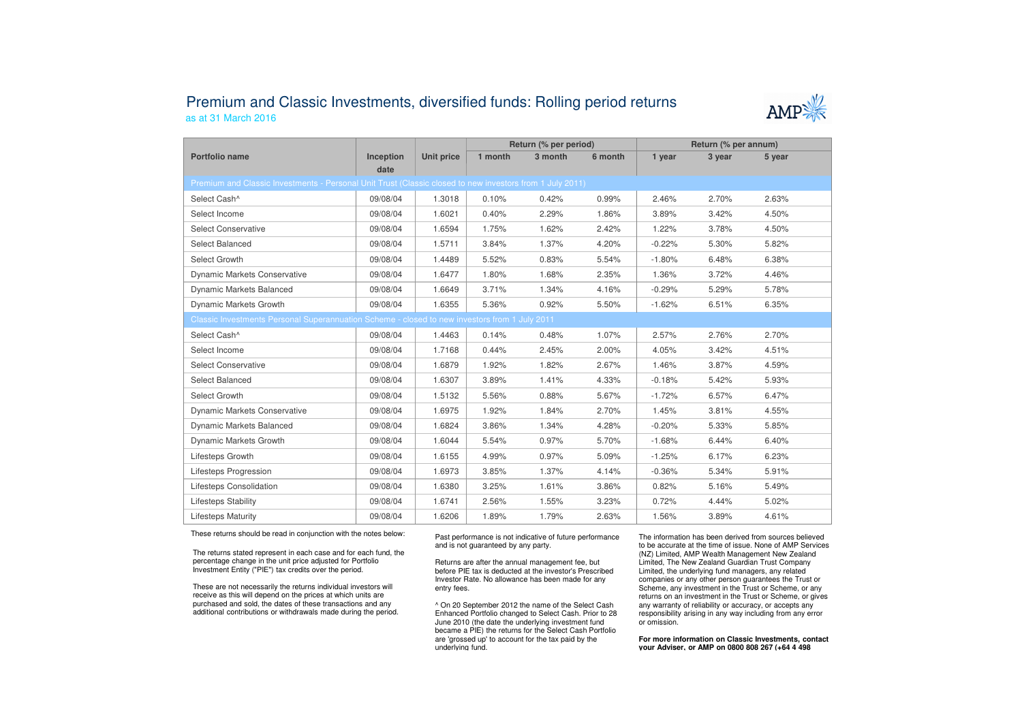## Premium and Classic Investments, diversified funds: Rolling period returnsas at 31 March 2016



|                                                                                                          |           |            | Return (% per period) |         |         | Return (% per annum) |        |        |  |  |  |  |
|----------------------------------------------------------------------------------------------------------|-----------|------------|-----------------------|---------|---------|----------------------|--------|--------|--|--|--|--|
| Portfolio name                                                                                           | Inception | Unit price | 1 month               | 3 month | 6 month | 1 year               | 3 year | 5 year |  |  |  |  |
|                                                                                                          | date      |            |                       |         |         |                      |        |        |  |  |  |  |
| Premium and Classic Investments - Personal Unit Trust (Classic closed to new investors from 1 July 2011) |           |            |                       |         |         |                      |        |        |  |  |  |  |
| Select Cash^                                                                                             | 09/08/04  | 1.3018     | 0.10%                 | 0.42%   | 0.99%   | 2.46%                | 2.70%  | 2.63%  |  |  |  |  |
| Select Income                                                                                            | 09/08/04  | 1.6021     | 0.40%                 | 2.29%   | 1.86%   | 3.89%                | 3.42%  | 4.50%  |  |  |  |  |
| <b>Select Conservative</b>                                                                               | 09/08/04  | 1.6594     | 1.75%                 | 1.62%   | 2.42%   | 1.22%                | 3.78%  | 4.50%  |  |  |  |  |
| Select Balanced                                                                                          | 09/08/04  | 1.5711     | 3.84%                 | 1.37%   | 4.20%   | $-0.22%$             | 5.30%  | 5.82%  |  |  |  |  |
| Select Growth                                                                                            | 09/08/04  | 1.4489     | 5.52%                 | 0.83%   | 5.54%   | $-1.80%$             | 6.48%  | 6.38%  |  |  |  |  |
| <b>Dynamic Markets Conservative</b>                                                                      | 09/08/04  | 1.6477     | 1.80%                 | 1.68%   | 2.35%   | 1.36%                | 3.72%  | 4.46%  |  |  |  |  |
| Dynamic Markets Balanced                                                                                 | 09/08/04  | 1.6649     | 3.71%                 | 1.34%   | 4.16%   | $-0.29%$             | 5.29%  | 5.78%  |  |  |  |  |
| Dynamic Markets Growth                                                                                   | 09/08/04  | 1.6355     | 5.36%                 | 0.92%   | 5.50%   | $-1.62%$             | 6.51%  | 6.35%  |  |  |  |  |
| Classic Investments Personal Superannuation Scheme - closed to new investors from 1 July 2011            |           |            |                       |         |         |                      |        |        |  |  |  |  |
| Select Cash^                                                                                             | 09/08/04  | 1.4463     | 0.14%                 | 0.48%   | 1.07%   | 2.57%                | 2.76%  | 2.70%  |  |  |  |  |
| Select Income                                                                                            | 09/08/04  | 1.7168     | 0.44%                 | 2.45%   | 2.00%   | 4.05%                | 3.42%  | 4.51%  |  |  |  |  |
| <b>Select Conservative</b>                                                                               | 09/08/04  | 1.6879     | 1.92%                 | 1.82%   | 2.67%   | 1.46%                | 3.87%  | 4.59%  |  |  |  |  |
| Select Balanced                                                                                          | 09/08/04  | 1.6307     | 3.89%                 | 1.41%   | 4.33%   | $-0.18%$             | 5.42%  | 5.93%  |  |  |  |  |
| Select Growth                                                                                            | 09/08/04  | 1.5132     | 5.56%                 | 0.88%   | 5.67%   | $-1.72%$             | 6.57%  | 6.47%  |  |  |  |  |
| <b>Dynamic Markets Conservative</b>                                                                      | 09/08/04  | 1.6975     | 1.92%                 | 1.84%   | 2.70%   | 1.45%                | 3.81%  | 4.55%  |  |  |  |  |
| <b>Dynamic Markets Balanced</b>                                                                          | 09/08/04  | 1.6824     | 3.86%                 | 1.34%   | 4.28%   | $-0.20%$             | 5.33%  | 5.85%  |  |  |  |  |
| Dynamic Markets Growth                                                                                   | 09/08/04  | 1.6044     | 5.54%                 | 0.97%   | 5.70%   | $-1.68%$             | 6.44%  | 6.40%  |  |  |  |  |
| Lifesteps Growth                                                                                         | 09/08/04  | 1.6155     | 4.99%                 | 0.97%   | 5.09%   | $-1.25%$             | 6.17%  | 6.23%  |  |  |  |  |
| Lifesteps Progression                                                                                    | 09/08/04  | 1.6973     | 3.85%                 | 1.37%   | 4.14%   | $-0.36%$             | 5.34%  | 5.91%  |  |  |  |  |
| Lifesteps Consolidation                                                                                  | 09/08/04  | 1.6380     | 3.25%                 | 1.61%   | 3.86%   | 0.82%                | 5.16%  | 5.49%  |  |  |  |  |
| Lifesteps Stability                                                                                      | 09/08/04  | 1.6741     | 2.56%                 | 1.55%   | 3.23%   | 0.72%                | 4.44%  | 5.02%  |  |  |  |  |
| <b>Lifesteps Maturity</b>                                                                                | 09/08/04  | 1.6206     | 1.89%                 | 1.79%   | 2.63%   | 1.56%                | 3.89%  | 4.61%  |  |  |  |  |

These returns should be read in conjunction with the notes below:

The returns stated represent in each case and for each fund, the percentage change in the unit price adjusted for Portfolio Investment Entity ("PIE") tax credits over the period.

These are not necessarily the returns individual investors will receive as this will depend on the prices at which units are purchased and sold, the dates of these transactions and any additional contributions or withdrawals made during the period. Past performance is not indicative of future performance and is not guaranteed by any party.

Returns are after the annual management fee, but before PIE tax is deducted at the investor's Prescribed Investor Rate. No allowance has been made for any entry fees.

^ On 20 September 2012 the name of the Select Cash Enhanced Portfolio changed to Select Cash. Prior to 28 June 2010 (the date the underlying investment fund became a PIE) the returns for the Select Cash Portfolio are 'grossed up' to account for the tax paid by theunderlying fund.

The information has been derived from sources believed to be accurate at the time of issue. None of AMP Services (NZ) Limited, AMP Wealth Management New Zealand Limited, The New Zealand Guardian Trust Company Limited, the underlying fund managers, any related companies or any other person guarantees the Trust or Scheme, any investment in the Trust or Scheme, or any returns on an investment in the Trust or Scheme, or gives any warranty of reliability or accuracy, or accepts any responsibility arising in any way including from any error or omission.

**For more information on Classic Investments, contact your Adviser, or AMP on 0800 808 267 (+64 4 498**